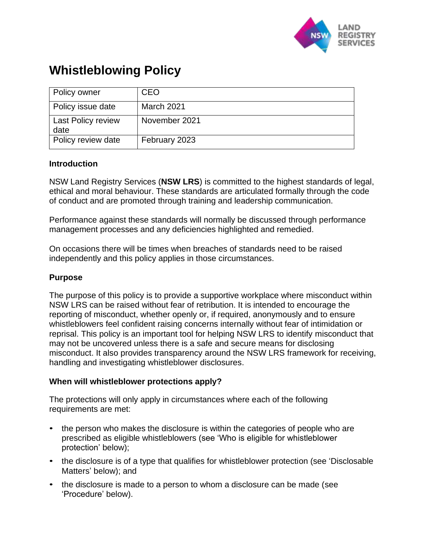

# **Whistleblowing Policy**

| Policy owner                      | <b>CEO</b>        |
|-----------------------------------|-------------------|
| Policy issue date                 | <b>March 2021</b> |
| <b>Last Policy review</b><br>date | November 2021     |
| Policy review date                | February 2023     |

## **Introduction**

NSW Land Registry Services (**NSW LRS**) is committed to the highest standards of legal, ethical and moral behaviour. These standards are articulated formally through the code of conduct and are promoted through training and leadership communication.

Performance against these standards will normally be discussed through performance management processes and any deficiencies highlighted and remedied.

On occasions there will be times when breaches of standards need to be raised independently and this policy applies in those circumstances.

## **Purpose**

The purpose of this policy is to provide a supportive workplace where misconduct within NSW LRS can be raised without fear of retribution. It is intended to encourage the reporting of misconduct, whether openly or, if required, anonymously and to ensure whistleblowers feel confident raising concerns internally without fear of intimidation or reprisal. This policy is an important tool for helping NSW LRS to identify misconduct that may not be uncovered unless there is a safe and secure means for disclosing misconduct. It also provides transparency around the NSW LRS framework for receiving, handling and investigating whistleblower disclosures.

## **When will whistleblower protections apply?**

The protections will only apply in circumstances where each of the following requirements are met:

- the person who makes the disclosure is within the categories of people who are prescribed as eligible whistleblowers (see 'Who is eligible for whistleblower protection' below);
- the disclosure is of a type that qualifies for whistleblower protection (see 'Disclosable' Matters' below); and
- the disclosure is made to a person to whom a disclosure can be made (see 'Procedure' below).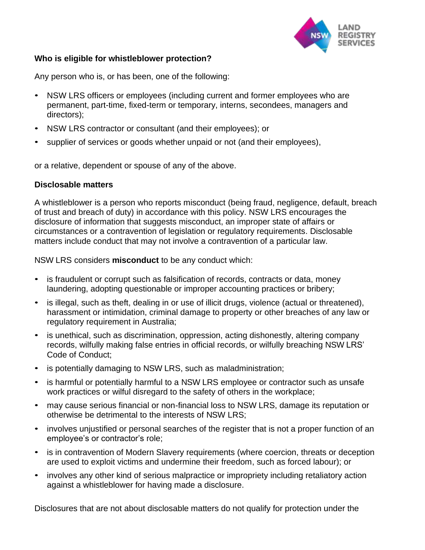

## **Who is eligible for whistleblower protection?**

Any person who is, or has been, one of the following:

- NSW LRS officers or employees (including current and former employees who are permanent, part-time, fixed-term or temporary, interns, secondees, managers and directors);
- NSW LRS contractor or consultant (and their employees); or
- supplier of services or goods whether unpaid or not (and their employees),

or a relative, dependent or spouse of any of the above.

## **Disclosable matters**

A whistleblower is a person who reports misconduct (being fraud, negligence, default, breach of trust and breach of duty) in accordance with this policy. NSW LRS encourages the disclosure of information that suggests misconduct, an improper state of affairs or circumstances or a contravention of legislation or regulatory requirements. Disclosable matters include conduct that may not involve a contravention of a particular law.

NSW LRS considers **misconduct** to be any conduct which:

- is fraudulent or corrupt such as falsification of records, contracts or data, money laundering, adopting questionable or improper accounting practices or bribery;
- is illegal, such as theft, dealing in or use of illicit drugs, violence (actual or threatened), harassment or intimidation, criminal damage to property or other breaches of any law or regulatory requirement in Australia;
- is unethical, such as discrimination, oppression, acting dishonestly, altering company records, wilfully making false entries in official records, or wilfully breaching NSW LRS' Code of Conduct;
- is potentially damaging to NSW LRS, such as maladministration;
- is harmful or potentially harmful to a NSW LRS employee or contractor such as unsafe work practices or wilful disregard to the safety of others in the workplace;
- may cause serious financial or non-financial loss to NSW LRS, damage its reputation or otherwise be detrimental to the interests of NSW LRS;
- involves unjustified or personal searches of the register that is not a proper function of an employee's or contractor's role;
- is in contravention of Modern Slavery requirements (where coercion, threats or deception are used to exploit victims and undermine their freedom, such as forced labour); or
- involves any other kind of serious malpractice or impropriety including retaliatory action against a whistleblower for having made a disclosure.

Disclosures that are not about disclosable matters do not qualify for protection under the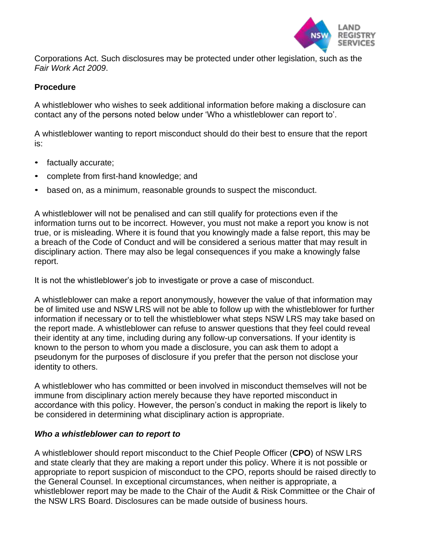

Corporations Act. Such disclosures may be protected under other legislation, such as the *Fair Work Act 2009*.

## **Procedure**

A whistleblower who wishes to seek additional information before making a disclosure can contact any of the persons noted below under 'Who a whistleblower can report to'.

A whistleblower wanting to report misconduct should do their best to ensure that the report is:

- factually accurate;
- complete from first-hand knowledge; and
- based on, as a minimum, reasonable grounds to suspect the misconduct.

A whistleblower will not be penalised and can still qualify for protections even if the information turns out to be incorrect. However, you must not make a report you know is not true, or is misleading. Where it is found that you knowingly made a false report, this may be a breach of the Code of Conduct and will be considered a serious matter that may result in disciplinary action. There may also be legal consequences if you make a knowingly false report.

It is not the whistleblower's job to investigate or prove a case of misconduct.

A whistleblower can make a report anonymously, however the value of that information may be of limited use and NSW LRS will not be able to follow up with the whistleblower for further information if necessary or to tell the whistleblower what steps NSW LRS may take based on the report made. A whistleblower can refuse to answer questions that they feel could reveal their identity at any time, including during any follow-up conversations. If your identity is known to the person to whom you made a disclosure, you can ask them to adopt a pseudonym for the purposes of disclosure if you prefer that the person not disclose your identity to others.

A whistleblower who has committed or been involved in misconduct themselves will not be immune from disciplinary action merely because they have reported misconduct in accordance with this policy. However, the person's conduct in making the report is likely to be considered in determining what disciplinary action is appropriate.

## *Who a whistleblower can to report to*

A whistleblower should report misconduct to the Chief People Officer (**CPO**) of NSW LRS and state clearly that they are making a report under this policy. Where it is not possible or appropriate to report suspicion of misconduct to the CPO, reports should be raised directly to the General Counsel. In exceptional circumstances, when neither is appropriate, a whistleblower report may be made to the Chair of the Audit & Risk Committee or the Chair of the NSW LRS Board. Disclosures can be made outside of business hours.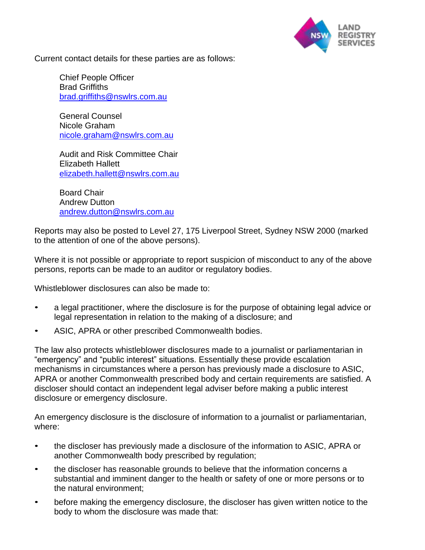

Current contact details for these parties are as follows:

Chief People Officer Brad Griffiths [brad.griffiths@nswlrs.com.au](mailto:brad.griffiths@nswlrs.com.au)

General Counsel Nicole Graham [nicole.graham@nswlrs.com.au](mailto:nicole.graham@nswlrs.com.au)

Audit and Risk Committee Chair Elizabeth Hallett [elizabeth.hallett@nswlrs.com.au](mailto:elizabeth.hallett@nswlrs.com.au)

Board Chair Andrew Dutton [andrew.dutton@nswlrs.com.au](mailto:andrew.dutton@nswlrs.com.au)

Reports may also be posted to Level 27, 175 Liverpool Street, Sydney NSW 2000 (marked to the attention of one of the above persons).

Where it is not possible or appropriate to report suspicion of misconduct to any of the above persons, reports can be made to an auditor or regulatory bodies.

Whistleblower disclosures can also be made to:

- a legal practitioner, where the disclosure is for the purpose of obtaining legal advice or legal representation in relation to the making of a disclosure; and
- ASIC, APRA or other prescribed Commonwealth bodies.

The law also protects whistleblower disclosures made to a journalist or parliamentarian in "emergency" and "public interest" situations. Essentially these provide escalation mechanisms in circumstances where a person has previously made a disclosure to ASIC, APRA or another Commonwealth prescribed body and certain requirements are satisfied. A discloser should contact an independent legal adviser before making a public interest disclosure or emergency disclosure.

An emergency disclosure is the disclosure of information to a journalist or parliamentarian, where:

- the discloser has previously made a disclosure of the information to ASIC, APRA or another Commonwealth body prescribed by regulation;
- the discloser has reasonable grounds to believe that the information concerns a substantial and imminent danger to the health or safety of one or more persons or to the natural environment;
- before making the emergency disclosure, the discloser has given written notice to the body to whom the disclosure was made that: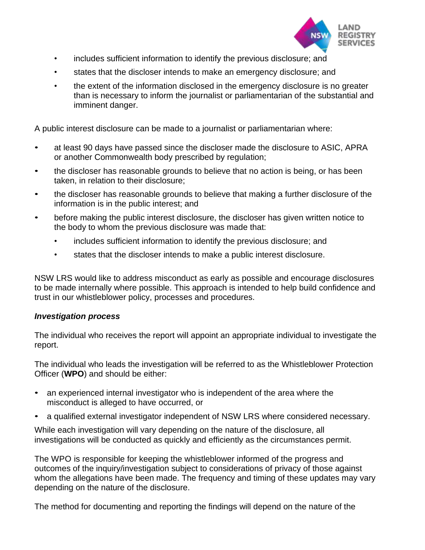

- includes sufficient information to identify the previous disclosure; and
- states that the discloser intends to make an emergency disclosure; and
- the extent of the information disclosed in the emergency disclosure is no greater than is necessary to inform the journalist or parliamentarian of the substantial and imminent danger.

A public interest disclosure can be made to a journalist or parliamentarian where:

- at least 90 days have passed since the discloser made the disclosure to ASIC, APRA or another Commonwealth body prescribed by regulation;
- the discloser has reasonable grounds to believe that no action is being, or has been taken, in relation to their disclosure;
- the discloser has reasonable grounds to believe that making a further disclosure of the information is in the public interest; and
- before making the public interest disclosure, the discloser has given written notice to the body to whom the previous disclosure was made that:
	- includes sufficient information to identify the previous disclosure; and
	- states that the discloser intends to make a public interest disclosure.

NSW LRS would like to address misconduct as early as possible and encourage disclosures to be made internally where possible. This approach is intended to help build confidence and trust in our whistleblower policy, processes and procedures.

## *Investigation process*

The individual who receives the report will appoint an appropriate individual to investigate the report.

The individual who leads the investigation will be referred to as the Whistleblower Protection Officer (**WPO**) and should be either:

- an experienced internal investigator who is independent of the area where the misconduct is alleged to have occurred, or
- a qualified external investigator independent of NSW LRS where considered necessary.

While each investigation will vary depending on the nature of the disclosure, all investigations will be conducted as quickly and efficiently as the circumstances permit.

The WPO is responsible for keeping the whistleblower informed of the progress and outcomes of the inquiry/investigation subject to considerations of privacy of those against whom the allegations have been made. The frequency and timing of these updates may vary depending on the nature of the disclosure.

The method for documenting and reporting the findings will depend on the nature of the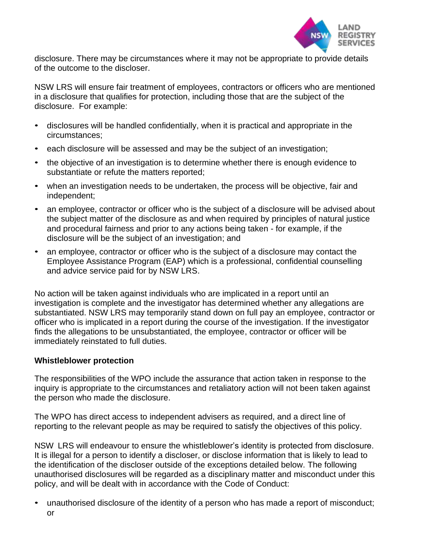

disclosure. There may be circumstances where it may not be appropriate to provide details of the outcome to the discloser.

NSW LRS will ensure fair treatment of employees, contractors or officers who are mentioned in a disclosure that qualifies for protection, including those that are the subject of the disclosure. For example:

- disclosures will be handled confidentially, when it is practical and appropriate in the circumstances;
- each disclosure will be assessed and may be the subject of an investigation;
- the objective of an investigation is to determine whether there is enough evidence to substantiate or refute the matters reported;
- when an investigation needs to be undertaken, the process will be objective, fair and independent;
- an employee, contractor or officer who is the subject of a disclosure will be advised about the subject matter of the disclosure as and when required by principles of natural justice and procedural fairness and prior to any actions being taken - for example, if the disclosure will be the subject of an investigation; and
- an employee, contractor or officer who is the subject of a disclosure may contact the Employee Assistance Program (EAP) which is a professional, confidential counselling and advice service paid for by NSW LRS.

No action will be taken against individuals who are implicated in a report until an investigation is complete and the investigator has determined whether any allegations are substantiated. NSW LRS may temporarily stand down on full pay an employee, contractor or officer who is implicated in a report during the course of the investigation. If the investigator finds the allegations to be unsubstantiated, the employee, contractor or officer will be immediately reinstated to full duties.

# **Whistleblower protection**

The responsibilities of the WPO include the assurance that action taken in response to the inquiry is appropriate to the circumstances and retaliatory action will not been taken against the person who made the disclosure.

The WPO has direct access to independent advisers as required, and a direct line of reporting to the relevant people as may be required to satisfy the objectives of this policy.

NSW LRS will endeavour to ensure the whistleblower's identity is protected from disclosure. It is illegal for a person to identify a discloser, or disclose information that is likely to lead to the identification of the discloser outside of the exceptions detailed below. The following unauthorised disclosures will be regarded as a disciplinary matter and misconduct under this policy, and will be dealt with in accordance with the Code of Conduct:

• unauthorised disclosure of the identity of a person who has made a report of misconduct; or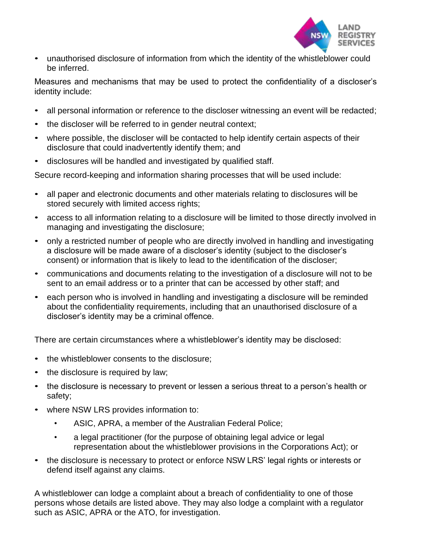

• unauthorised disclosure of information from which the identity of the whistleblower could be inferred.

Measures and mechanisms that may be used to protect the confidentiality of a discloser's identity include:

- all personal information or reference to the discloser witnessing an event will be redacted;
- the discloser will be referred to in gender neutral context;
- where possible, the discloser will be contacted to help identify certain aspects of their disclosure that could inadvertently identify them; and
- disclosures will be handled and investigated by qualified staff.

Secure record-keeping and information sharing processes that will be used include:

- all paper and electronic documents and other materials relating to disclosures will be stored securely with limited access rights;
- access to all information relating to a disclosure will be limited to those directly involved in managing and investigating the disclosure;
- only a restricted number of people who are directly involved in handling and investigating a disclosure will be made aware of a discloser's identity (subject to the discloser's consent) or information that is likely to lead to the identification of the discloser;
- communications and documents relating to the investigation of a disclosure will not to be sent to an email address or to a printer that can be accessed by other staff; and
- each person who is involved in handling and investigating a disclosure will be reminded about the confidentiality requirements, including that an unauthorised disclosure of a discloser's identity may be a criminal offence.

There are certain circumstances where a whistleblower's identity may be disclosed:

- the whistleblower consents to the disclosure;
- the disclosure is required by law;
- the disclosure is necessary to prevent or lessen a serious threat to a person's health or safety;
- where NSW LRS provides information to:
	- ASIC, APRA, a member of the Australian Federal Police;
	- a legal practitioner (for the purpose of obtaining legal advice or legal representation about the whistleblower provisions in the Corporations Act); or
- the disclosure is necessary to protect or enforce NSW LRS' legal rights or interests or defend itself against any claims.

A whistleblower can lodge a complaint about a breach of confidentiality to one of those persons whose details are listed above. They may also lodge a complaint with a regulator such as ASIC, APRA or the ATO, for investigation.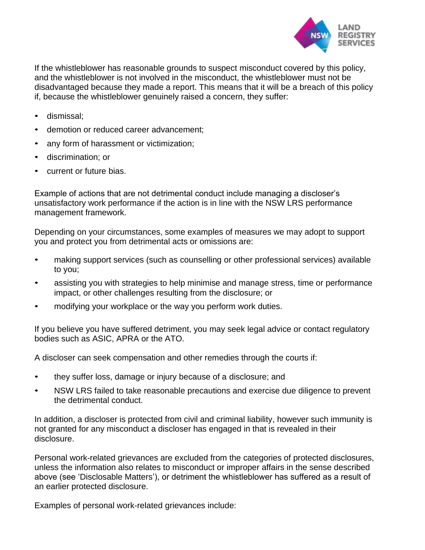

If the whistleblower has reasonable grounds to suspect misconduct covered by this policy, and the whistleblower is not involved in the misconduct, the whistleblower must not be disadvantaged because they made a report. This means that it will be a breach of this policy if, because the whistleblower genuinely raised a concern, they suffer:

- dismissal;
- demotion or reduced career advancement;
- any form of harassment or victimization;
- discrimination; or
- current or future bias.

Example of actions that are not detrimental conduct include managing a discloser's unsatisfactory work performance if the action is in line with the NSW LRS performance management framework.

Depending on your circumstances, some examples of measures we may adopt to support you and protect you from detrimental acts or omissions are:

- making support services (such as counselling or other professional services) available to you;
- assisting you with strategies to help minimise and manage stress, time or performance impact, or other challenges resulting from the disclosure; or
- modifying your workplace or the way you perform work duties.

If you believe you have suffered detriment, you may seek legal advice or contact regulatory bodies such as ASIC, APRA or the ATO.

A discloser can seek compensation and other remedies through the courts if:

- they suffer loss, damage or injury because of a disclosure; and
- NSW LRS failed to take reasonable precautions and exercise due diligence to prevent the detrimental conduct.

In addition, a discloser is protected from civil and criminal liability, however such immunity is not granted for any misconduct a discloser has engaged in that is revealed in their disclosure.

Personal work-related grievances are excluded from the categories of protected disclosures, unless the information also relates to misconduct or improper affairs in the sense described above (see 'Disclosable Matters'), or detriment the whistleblower has suffered as a result of an earlier protected disclosure.

Examples of personal work-related grievances include: